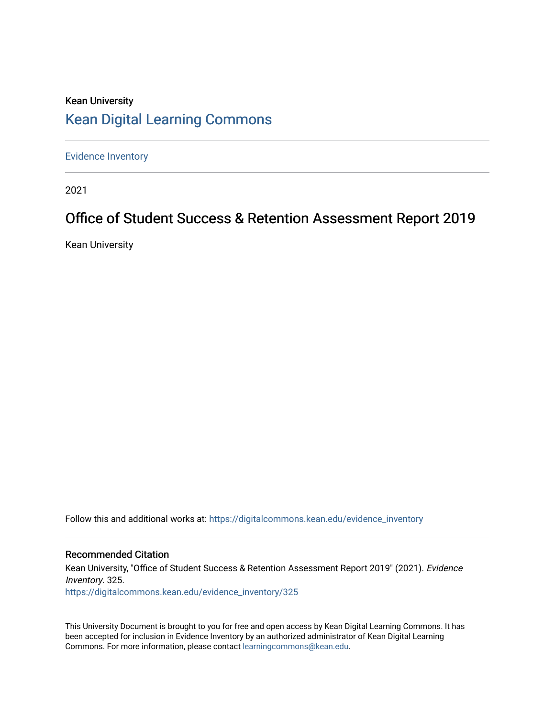# Kean University [Kean Digital Learning Commons](https://digitalcommons.kean.edu/)

[Evidence Inventory](https://digitalcommons.kean.edu/evidence_inventory) 

2021

# Office of Student Success & Retention Assessment Report 2019

Kean University

Follow this and additional works at: [https://digitalcommons.kean.edu/evidence\\_inventory](https://digitalcommons.kean.edu/evidence_inventory?utm_source=digitalcommons.kean.edu%2Fevidence_inventory%2F325&utm_medium=PDF&utm_campaign=PDFCoverPages)

#### Recommended Citation

Kean University, "Office of Student Success & Retention Assessment Report 2019" (2021). Evidence Inventory. 325. [https://digitalcommons.kean.edu/evidence\\_inventory/325](https://digitalcommons.kean.edu/evidence_inventory/325?utm_source=digitalcommons.kean.edu%2Fevidence_inventory%2F325&utm_medium=PDF&utm_campaign=PDFCoverPages)

This University Document is brought to you for free and open access by Kean Digital Learning Commons. It has been accepted for inclusion in Evidence Inventory by an authorized administrator of Kean Digital Learning Commons. For more information, please contact [learningcommons@kean.edu.](mailto:learningcommons@kean.edu)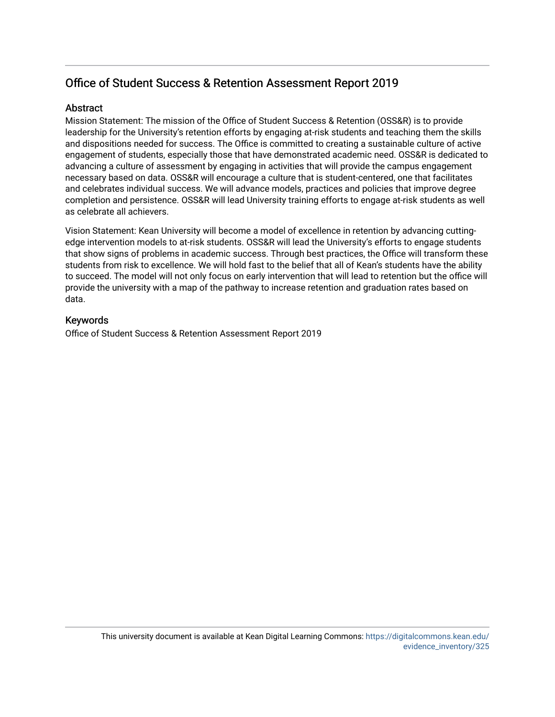## Office of Student Success & Retention Assessment Report 2019

### **Abstract**

Mission Statement: The mission of the Office of Student Success & Retention (OSS&R) is to provide leadership for the University's retention efforts by engaging at-risk students and teaching them the skills and dispositions needed for success. The Office is committed to creating a sustainable culture of active engagement of students, especially those that have demonstrated academic need. OSS&R is dedicated to advancing a culture of assessment by engaging in activities that will provide the campus engagement necessary based on data. OSS&R will encourage a culture that is student-centered, one that facilitates and celebrates individual success. We will advance models, practices and policies that improve degree completion and persistence. OSS&R will lead University training efforts to engage at-risk students as well as celebrate all achievers.

Vision Statement: Kean University will become a model of excellence in retention by advancing cuttingedge intervention models to at-risk students. OSS&R will lead the University's efforts to engage students that show signs of problems in academic success. Through best practices, the Office will transform these students from risk to excellence. We will hold fast to the belief that all of Kean's students have the ability to succeed. The model will not only focus on early intervention that will lead to retention but the office will provide the university with a map of the pathway to increase retention and graduation rates based on data.

#### Keywords

Office of Student Success & Retention Assessment Report 2019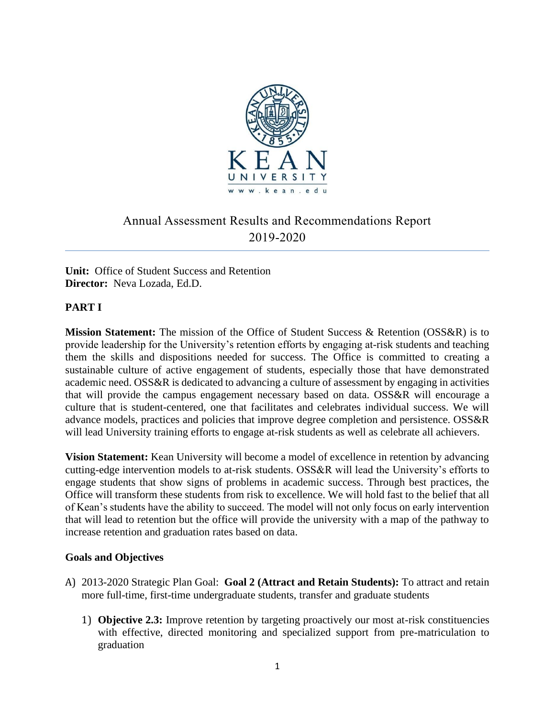

# Annual Assessment Results and Recommendations Report 2019-2020

**Unit:** Office of Student Success and Retention **Director:** Neva Lozada, Ed.D.

### **PART I**

**Mission Statement:** The mission of the Office of Student Success & Retention (OSS&R) is to provide leadership for the University's retention efforts by engaging at-risk students and teaching them the skills and dispositions needed for success. The Office is committed to creating a sustainable culture of active engagement of students, especially those that have demonstrated academic need. OSS&R is dedicated to advancing a culture of assessment by engaging in activities that will provide the campus engagement necessary based on data. OSS&R will encourage a culture that is student-centered, one that facilitates and celebrates individual success. We will advance models, practices and policies that improve degree completion and persistence. OSS&R will lead University training efforts to engage at-risk students as well as celebrate all achievers.

**Vision Statement:** Kean University will become a model of excellence in retention by advancing cutting-edge intervention models to at-risk students. OSS&R will lead the University's efforts to engage students that show signs of problems in academic success. Through best practices, the Office will transform these students from risk to excellence. We will hold fast to the belief that all of Kean's students have the ability to succeed. The model will not only focus on early intervention that will lead to retention but the office will provide the university with a map of the pathway to increase retention and graduation rates based on data.

### **Goals and Objectives**

- A) 2013-2020 Strategic Plan Goal: **Goal 2 (Attract and Retain Students):** To attract and retain more full-time, first-time undergraduate students, transfer and graduate students
	- 1) **Objective 2.3:** Improve retention by targeting proactively our most at-risk constituencies with effective, directed monitoring and specialized support from pre-matriculation to graduation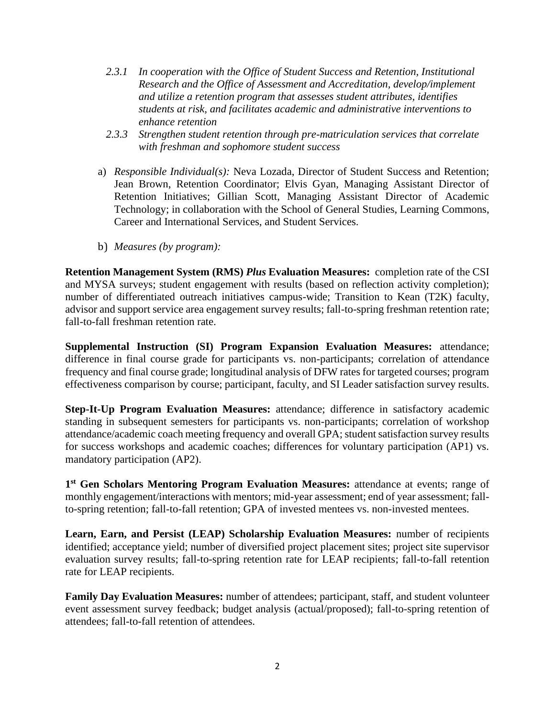- *2.3.1 In cooperation with the Office of Student Success and Retention, Institutional Research and the Office of Assessment and Accreditation, develop/implement and utilize a retention program that assesses student attributes, identifies students at risk, and facilitates academic and administrative interventions to enhance retention*
- *2.3.3 Strengthen student retention through pre-matriculation services that correlate with freshman and sophomore student success*
- a) *Responsible Individual(s):* Neva Lozada, Director of Student Success and Retention; Jean Brown, Retention Coordinator; Elvis Gyan, Managing Assistant Director of Retention Initiatives; Gillian Scott, Managing Assistant Director of Academic Technology; in collaboration with the School of General Studies, Learning Commons, Career and International Services, and Student Services.
- b) *Measures (by program):*

**Retention Management System (RMS)** *Plus* **Evaluation Measures:** completion rate of the CSI and MYSA surveys; student engagement with results (based on reflection activity completion); number of differentiated outreach initiatives campus-wide; Transition to Kean (T2K) faculty, advisor and support service area engagement survey results; fall-to-spring freshman retention rate; fall-to-fall freshman retention rate.

**Supplemental Instruction (SI) Program Expansion Evaluation Measures:** attendance; difference in final course grade for participants vs. non-participants; correlation of attendance frequency and final course grade; longitudinal analysis of DFW rates for targeted courses; program effectiveness comparison by course; participant, faculty, and SI Leader satisfaction survey results.

**Step-It-Up Program Evaluation Measures:** attendance; difference in satisfactory academic standing in subsequent semesters for participants vs. non-participants; correlation of workshop attendance/academic coach meeting frequency and overall GPA; student satisfaction survey results for success workshops and academic coaches; differences for voluntary participation (AP1) vs. mandatory participation (AP2).

1<sup>st</sup> Gen Scholars Mentoring Program Evaluation Measures: attendance at events; range of monthly engagement/interactions with mentors; mid-year assessment; end of year assessment; fallto-spring retention; fall-to-fall retention; GPA of invested mentees vs. non-invested mentees.

**Learn, Earn, and Persist (LEAP) Scholarship Evaluation Measures:** number of recipients identified; acceptance yield; number of diversified project placement sites; project site supervisor evaluation survey results; fall-to-spring retention rate for LEAP recipients; fall-to-fall retention rate for LEAP recipients.

**Family Day Evaluation Measures:** number of attendees; participant, staff, and student volunteer event assessment survey feedback; budget analysis (actual/proposed); fall-to-spring retention of attendees; fall-to-fall retention of attendees.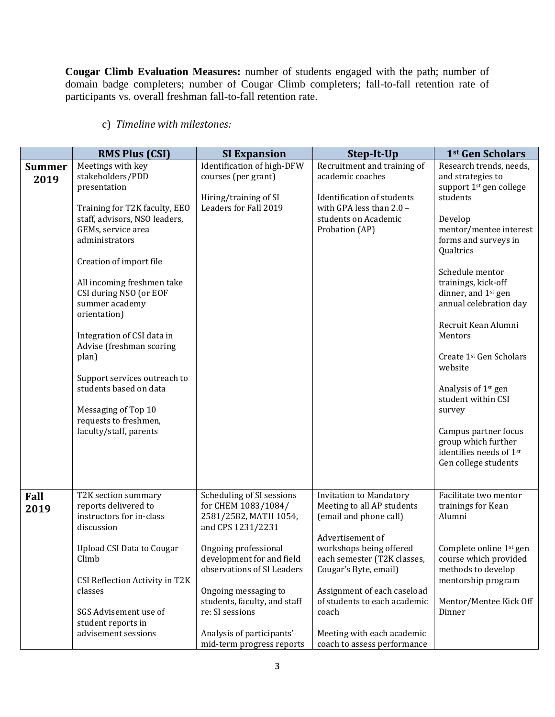**Cougar Climb Evaluation Measures:** number of students engaged with the path; number of domain badge completers; number of Cougar Climb completers; fall-to-fall retention rate of participants vs. overall freshman fall-to-fall retention rate.

c) *Timeline with milestones:* 

|                       | <b>RMS Plus (CSI)</b>                                                                                                                                                                                                                                                                                                                                                                                                                                                                       | <b>SI Expansion</b>                                                                                                                                                                                                                                                                                                    | Step-It-Up                                                                                                                                                                                                                                                                                                                         | 1st Gen Scholars                                                                                                                                                                                                                                                                                                                                                                                                                                                                                                                          |
|-----------------------|---------------------------------------------------------------------------------------------------------------------------------------------------------------------------------------------------------------------------------------------------------------------------------------------------------------------------------------------------------------------------------------------------------------------------------------------------------------------------------------------|------------------------------------------------------------------------------------------------------------------------------------------------------------------------------------------------------------------------------------------------------------------------------------------------------------------------|------------------------------------------------------------------------------------------------------------------------------------------------------------------------------------------------------------------------------------------------------------------------------------------------------------------------------------|-------------------------------------------------------------------------------------------------------------------------------------------------------------------------------------------------------------------------------------------------------------------------------------------------------------------------------------------------------------------------------------------------------------------------------------------------------------------------------------------------------------------------------------------|
| <b>Summer</b><br>2019 | Meetings with key<br>stakeholders/PDD<br>presentation<br>Training for T2K faculty, EEO<br>staff, advisors, NSO leaders,<br>GEMs, service area<br>administrators<br>Creation of import file<br>All incoming freshmen take<br>CSI during NSO (or EOF<br>summer academy<br>orientation)<br>Integration of CSI data in<br>Advise (freshman scoring<br>plan)<br>Support services outreach to<br>students based on data<br>Messaging of Top 10<br>requests to freshmen,<br>faculty/staff, parents | Identification of high-DFW<br>courses (per grant)<br>Hiring/training of SI<br>Leaders for Fall 2019                                                                                                                                                                                                                    | Recruitment and training of<br>academic coaches<br>Identification of students<br>with GPA less than $2.0 -$<br>students on Academic<br>Probation (AP)                                                                                                                                                                              | Research trends, needs,<br>and strategies to<br>support 1 <sup>st</sup> gen college<br>students<br>Develop<br>mentor/mentee interest<br>forms and surveys in<br>Qualtrics<br>Schedule mentor<br>trainings, kick-off<br>dinner, and 1 <sup>st</sup> gen<br>annual celebration day<br>Recruit Kean Alumni<br>Mentors<br>Create 1 <sup>st</sup> Gen Scholars<br>website<br>Analysis of 1 <sup>st</sup> gen<br>student within CSI<br>survey<br>Campus partner focus<br>group which further<br>identifies needs of 1st<br>Gen college students |
| Fall<br>2019          | T2K section summary<br>reports delivered to<br>instructors for in-class<br>discussion<br><b>Upload CSI Data to Cougar</b><br>Climb<br>CSI Reflection Activity in T2K<br>classes<br>SGS Advisement use of<br>student reports in<br>advisement sessions                                                                                                                                                                                                                                       | Scheduling of SI sessions<br>for CHEM 1083/1084/<br>2581/2582, MATH 1054,<br>and CPS 1231/2231<br>Ongoing professional<br>development for and field<br>observations of SI Leaders<br>Ongoing messaging to<br>students, faculty, and staff<br>re: SI sessions<br>Analysis of participants'<br>mid-term progress reports | <b>Invitation to Mandatory</b><br>Meeting to all AP students<br>(email and phone call)<br>Advertisement of<br>workshops being offered<br>each semester (T2K classes,<br>Cougar's Byte, email)<br>Assignment of each caseload<br>of students to each academic<br>coach<br>Meeting with each academic<br>coach to assess performance | Facilitate two mentor<br>trainings for Kean<br>Alumni<br>Complete online 1 <sup>st</sup> gen<br>course which provided<br>methods to develop<br>mentorship program<br>Mentor/Mentee Kick Off<br>Dinner                                                                                                                                                                                                                                                                                                                                     |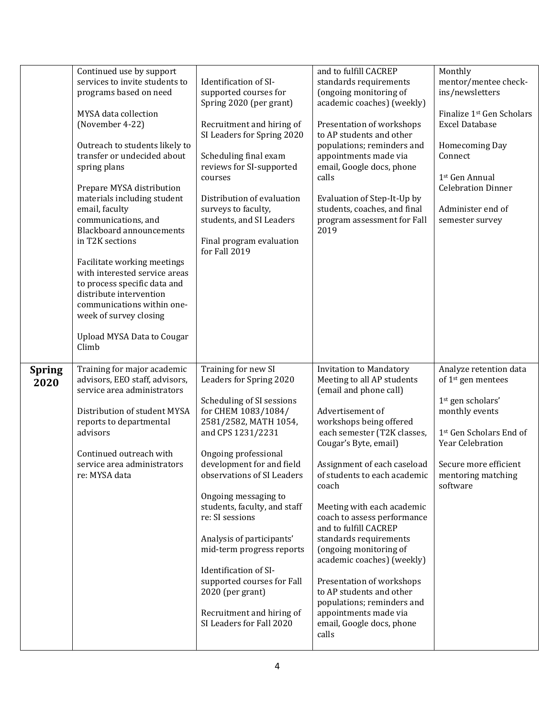|               | Continued use by support                                      |                                                         | and to fulfill CACREP                                        | Monthly                                                        |
|---------------|---------------------------------------------------------------|---------------------------------------------------------|--------------------------------------------------------------|----------------------------------------------------------------|
|               | services to invite students to                                | Identification of SI-                                   | standards requirements                                       | mentor/mentee check-                                           |
|               | programs based on need                                        | supported courses for                                   | (ongoing monitoring of                                       | ins/newsletters                                                |
|               |                                                               | Spring 2020 (per grant)                                 | academic coaches) (weekly)                                   |                                                                |
|               | MYSA data collection<br>(November 4-22)                       |                                                         |                                                              | Finalize 1 <sup>st</sup> Gen Scholars<br><b>Excel Database</b> |
|               |                                                               | Recruitment and hiring of<br>SI Leaders for Spring 2020 | Presentation of workshops<br>to AP students and other        |                                                                |
|               | Outreach to students likely to                                |                                                         | populations; reminders and                                   | Homecoming Day                                                 |
|               | transfer or undecided about                                   | Scheduling final exam                                   | appointments made via                                        | Connect                                                        |
|               | spring plans                                                  | reviews for SI-supported                                | email, Google docs, phone                                    |                                                                |
|               |                                                               | courses                                                 | calls                                                        | 1st Gen Annual                                                 |
|               | Prepare MYSA distribution                                     |                                                         |                                                              | <b>Celebration Dinner</b>                                      |
|               | materials including student                                   | Distribution of evaluation                              | Evaluation of Step-It-Up by                                  |                                                                |
|               | email, faculty<br>communications, and                         | surveys to faculty,<br>students, and SI Leaders         | students, coaches, and final<br>program assessment for Fall  | Administer end of<br>semester survey                           |
|               | <b>Blackboard announcements</b>                               |                                                         | 2019                                                         |                                                                |
|               | in T2K sections                                               | Final program evaluation<br>for Fall 2019               |                                                              |                                                                |
|               | Facilitate working meetings                                   |                                                         |                                                              |                                                                |
|               | with interested service areas                                 |                                                         |                                                              |                                                                |
|               | to process specific data and                                  |                                                         |                                                              |                                                                |
|               | distribute intervention                                       |                                                         |                                                              |                                                                |
|               | communications within one-<br>week of survey closing          |                                                         |                                                              |                                                                |
|               |                                                               |                                                         |                                                              |                                                                |
|               | <b>Upload MYSA Data to Cougar</b><br>Climb                    |                                                         |                                                              |                                                                |
|               |                                                               |                                                         |                                                              |                                                                |
| <b>Spring</b> | Training for major academic<br>advisors, EEO staff, advisors, | Training for new SI<br>Leaders for Spring 2020          | <b>Invitation to Mandatory</b><br>Meeting to all AP students | Analyze retention data<br>of 1 <sup>st</sup> gen mentees       |
| 2020          | service area administrators                                   |                                                         | (email and phone call)                                       |                                                                |
|               |                                                               | Scheduling of SI sessions                               |                                                              | 1st gen scholars'                                              |
|               | Distribution of student MYSA                                  | for CHEM 1083/1084/                                     | Advertisement of                                             | monthly events                                                 |
|               | reports to departmental                                       | 2581/2582, MATH 1054,                                   | workshops being offered                                      |                                                                |
|               | advisors                                                      | and CPS 1231/2231                                       | each semester (T2K classes,                                  | 1st Gen Scholars End of                                        |
|               |                                                               |                                                         |                                                              |                                                                |
|               |                                                               |                                                         | Cougar's Byte, email)                                        | Year Celebration                                               |
|               | Continued outreach with                                       | Ongoing professional                                    |                                                              |                                                                |
|               | service area administrators<br>re: MYSA data                  | development for and field<br>observations of SI Leaders | Assignment of each caseload<br>of students to each academic  | Secure more efficient                                          |
|               |                                                               |                                                         | coach                                                        | mentoring matching<br>software                                 |
|               |                                                               | Ongoing messaging to                                    |                                                              |                                                                |
|               |                                                               | students, faculty, and staff                            | Meeting with each academic                                   |                                                                |
|               |                                                               | re: SI sessions                                         | coach to assess performance                                  |                                                                |
|               |                                                               |                                                         | and to fulfill CACREP                                        |                                                                |
|               |                                                               | Analysis of participants'                               | standards requirements                                       |                                                                |
|               |                                                               | mid-term progress reports                               | (ongoing monitoring of<br>academic coaches) (weekly)         |                                                                |
|               |                                                               | Identification of SI-                                   |                                                              |                                                                |
|               |                                                               | supported courses for Fall                              | Presentation of workshops                                    |                                                                |
|               |                                                               | 2020 (per grant)                                        | to AP students and other                                     |                                                                |
|               |                                                               |                                                         | populations; reminders and                                   |                                                                |
|               |                                                               | Recruitment and hiring of                               | appointments made via                                        |                                                                |
|               |                                                               | SI Leaders for Fall 2020                                | email, Google docs, phone<br>calls                           |                                                                |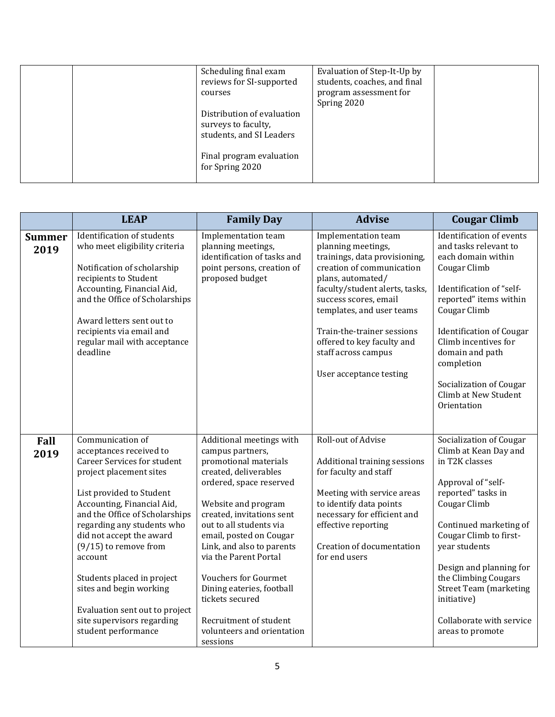| Scheduling final exam<br>reviews for SI-supported<br>courses<br>Distribution of evaluation<br>surveys to faculty,<br>students, and SI Leaders | Evaluation of Step-It-Up by<br>students, coaches, and final<br>program assessment for<br>Spring 2020 |  |
|-----------------------------------------------------------------------------------------------------------------------------------------------|------------------------------------------------------------------------------------------------------|--|
| Final program evaluation<br>for Spring 2020                                                                                                   |                                                                                                      |  |

|                       | <b>LEAP</b>                                                                                                                                                                                                                                                                                                                                                                                                                                              | <b>Family Day</b>                                                                                                                                                                                                                                                                                                                                                                                                                            | <b>Advise</b>                                                                                                                                                                                                                                                                                                                      | <b>Cougar Climb</b>                                                                                                                                                                                                                                                                                                                                    |
|-----------------------|----------------------------------------------------------------------------------------------------------------------------------------------------------------------------------------------------------------------------------------------------------------------------------------------------------------------------------------------------------------------------------------------------------------------------------------------------------|----------------------------------------------------------------------------------------------------------------------------------------------------------------------------------------------------------------------------------------------------------------------------------------------------------------------------------------------------------------------------------------------------------------------------------------------|------------------------------------------------------------------------------------------------------------------------------------------------------------------------------------------------------------------------------------------------------------------------------------------------------------------------------------|--------------------------------------------------------------------------------------------------------------------------------------------------------------------------------------------------------------------------------------------------------------------------------------------------------------------------------------------------------|
| <b>Summer</b><br>2019 | Identification of students<br>who meet eligibility criteria<br>Notification of scholarship<br>recipients to Student<br>Accounting, Financial Aid,<br>and the Office of Scholarships<br>Award letters sent out to<br>recipients via email and<br>regular mail with acceptance<br>deadline                                                                                                                                                                 | Implementation team<br>planning meetings,<br>identification of tasks and<br>point persons, creation of<br>proposed budget                                                                                                                                                                                                                                                                                                                    | Implementation team<br>planning meetings,<br>trainings, data provisioning,<br>creation of communication<br>plans, automated/<br>faculty/student alerts, tasks,<br>success scores, email<br>templates, and user teams<br>Train-the-trainer sessions<br>offered to key faculty and<br>staff across campus<br>User acceptance testing | Identification of events<br>and tasks relevant to<br>each domain within<br>Cougar Climb<br>Identification of "self-<br>reported" items within<br>Cougar Climb<br><b>Identification of Cougar</b><br>Climb incentives for<br>domain and path<br>completion<br>Socialization of Cougar<br>Climb at New Student<br>Orientation                            |
| Fall<br>2019          | Communication of<br>acceptances received to<br><b>Career Services for student</b><br>project placement sites<br>List provided to Student<br>Accounting, Financial Aid,<br>and the Office of Scholarships<br>regarding any students who<br>did not accept the award<br>$(9/15)$ to remove from<br>account<br>Students placed in project<br>sites and begin working<br>Evaluation sent out to project<br>site supervisors regarding<br>student performance | Additional meetings with<br>campus partners,<br>promotional materials<br>created, deliverables<br>ordered, space reserved<br>Website and program<br>created, invitations sent<br>out to all students via<br>email, posted on Cougar<br>Link, and also to parents<br>via the Parent Portal<br><b>Vouchers for Gourmet</b><br>Dining eateries, football<br>tickets secured<br>Recruitment of student<br>volunteers and orientation<br>sessions | Roll-out of Advise<br>Additional training sessions<br>for faculty and staff<br>Meeting with service areas<br>to identify data points<br>necessary for efficient and<br>effective reporting<br>Creation of documentation<br>for end users                                                                                           | Socialization of Cougar<br>Climb at Kean Day and<br>in T2K classes<br>Approval of "self-<br>reported" tasks in<br>Cougar Climb<br>Continued marketing of<br>Cougar Climb to first-<br>year students<br>Design and planning for<br>the Climbing Cougars<br><b>Street Team (marketing</b><br>initiative)<br>Collaborate with service<br>areas to promote |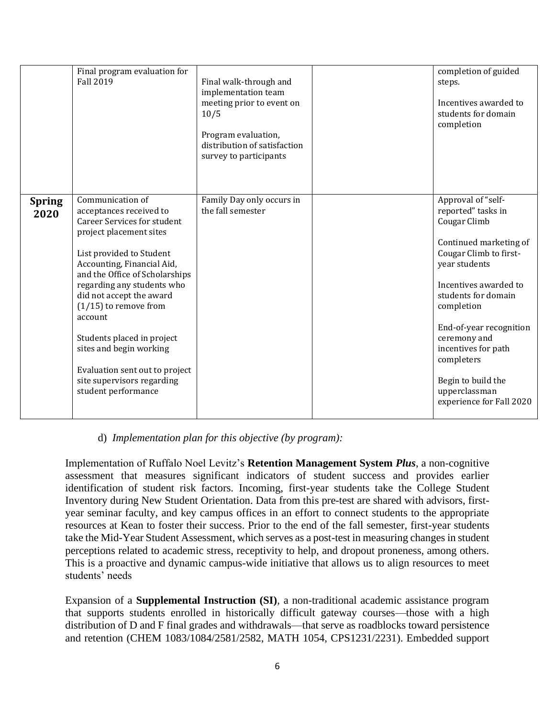|                       | Final program evaluation for<br>Fall 2019                                                                                                                                                                                                                                                                                                                                                                                                                | Final walk-through and<br>implementation team<br>meeting prior to event on<br>10/5<br>Program evaluation,<br>distribution of satisfaction<br>survey to participants | completion of guided<br>steps.<br>Incentives awarded to<br>students for domain<br>completion                                                                                                                                                                                                                                                   |
|-----------------------|----------------------------------------------------------------------------------------------------------------------------------------------------------------------------------------------------------------------------------------------------------------------------------------------------------------------------------------------------------------------------------------------------------------------------------------------------------|---------------------------------------------------------------------------------------------------------------------------------------------------------------------|------------------------------------------------------------------------------------------------------------------------------------------------------------------------------------------------------------------------------------------------------------------------------------------------------------------------------------------------|
| <b>Spring</b><br>2020 | Communication of<br>acceptances received to<br><b>Career Services for student</b><br>project placement sites<br>List provided to Student<br>Accounting, Financial Aid,<br>and the Office of Scholarships<br>regarding any students who<br>did not accept the award<br>$(1/15)$ to remove from<br>account<br>Students placed in project<br>sites and begin working<br>Evaluation sent out to project<br>site supervisors regarding<br>student performance | Family Day only occurs in<br>the fall semester                                                                                                                      | Approval of "self-<br>reported" tasks in<br>Cougar Climb<br>Continued marketing of<br>Cougar Climb to first-<br>year students<br>Incentives awarded to<br>students for domain<br>completion<br>End-of-year recognition<br>ceremony and<br>incentives for path<br>completers<br>Begin to build the<br>upperclassman<br>experience for Fall 2020 |

### d) *Implementation plan for this objective (by program):*

Implementation of Ruffalo Noel Levitz's **Retention Management System** *Plus*, a non-cognitive assessment that measures significant indicators of student success and provides earlier identification of student risk factors. Incoming, first-year students take the College Student Inventory during New Student Orientation. Data from this pre-test are shared with advisors, firstyear seminar faculty, and key campus offices in an effort to connect students to the appropriate resources at Kean to foster their success. Prior to the end of the fall semester, first-year students take the Mid-Year Student Assessment, which serves as a post-test in measuring changes in student perceptions related to academic stress, receptivity to help, and dropout proneness, among others. This is a proactive and dynamic campus-wide initiative that allows us to align resources to meet students' needs

Expansion of a **Supplemental Instruction (SI)**, a non-traditional academic assistance program that supports students enrolled in historically difficult gateway courses—those with a high distribution of D and F final grades and withdrawals—that serve as roadblocks toward persistence and retention (CHEM 1083/1084/2581/2582, MATH 1054, CPS1231/2231). Embedded support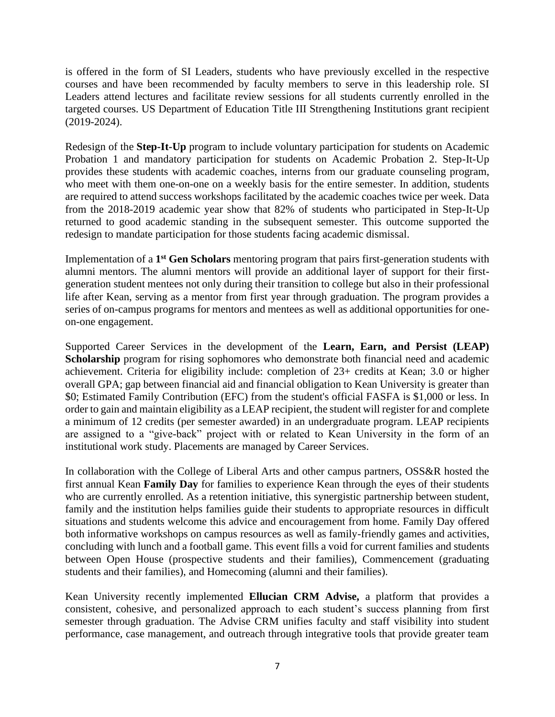is offered in the form of SI Leaders, students who have previously excelled in the respective courses and have been recommended by faculty members to serve in this leadership role. SI Leaders attend lectures and facilitate review sessions for all students currently enrolled in the targeted courses. US Department of Education Title III Strengthening Institutions grant recipient (2019-2024).

Redesign of the **Step-It-Up** program to include voluntary participation for students on Academic Probation 1 and mandatory participation for students on Academic Probation 2. Step-It-Up provides these students with academic coaches, interns from our graduate counseling program, who meet with them one-on-one on a weekly basis for the entire semester. In addition, students are required to attend success workshops facilitated by the academic coaches twice per week. Data from the 2018-2019 academic year show that 82% of students who participated in Step-It-Up returned to good academic standing in the subsequent semester. This outcome supported the redesign to mandate participation for those students facing academic dismissal.

Implementation of a 1<sup>st</sup> Gen Scholars mentoring program that pairs first-generation students with alumni mentors. The alumni mentors will provide an additional layer of support for their firstgeneration student mentees not only during their transition to college but also in their professional life after Kean, serving as a mentor from first year through graduation. The program provides a series of on-campus programs for mentors and mentees as well as additional opportunities for oneon-one engagement.

Supported Career Services in the development of the **Learn, Earn, and Persist (LEAP) Scholarship** program for rising sophomores who demonstrate both financial need and academic achievement. Criteria for eligibility include: completion of 23+ credits at Kean; 3.0 or higher overall GPA; gap between financial aid and financial obligation to Kean University is greater than \$0; Estimated Family Contribution (EFC) from the student's official FASFA is \$1,000 or less. In order to gain and maintain eligibility as a LEAP recipient, the student will register for and complete a minimum of 12 credits (per semester awarded) in an undergraduate program. LEAP recipients are assigned to a "give-back" project with or related to Kean University in the form of an institutional work study. Placements are managed by Career Services.

In collaboration with the College of Liberal Arts and other campus partners, OSS&R hosted the first annual Kean **Family Day** for families to experience Kean through the eyes of their students who are currently enrolled. As a retention initiative, this synergistic partnership between student, family and the institution helps families guide their students to appropriate resources in difficult situations and students welcome this advice and encouragement from home. Family Day offered both informative workshops on campus resources as well as family-friendly games and activities, concluding with lunch and a football game. This event fills a void for current families and students between Open House (prospective students and their families), Commencement (graduating students and their families), and Homecoming (alumni and their families).

Kean University recently implemented **Ellucian CRM Advise,** a platform that provides a consistent, cohesive, and personalized approach to each student's success planning from first semester through graduation. The Advise CRM unifies faculty and staff visibility into student performance, case management, and outreach through integrative tools that provide greater team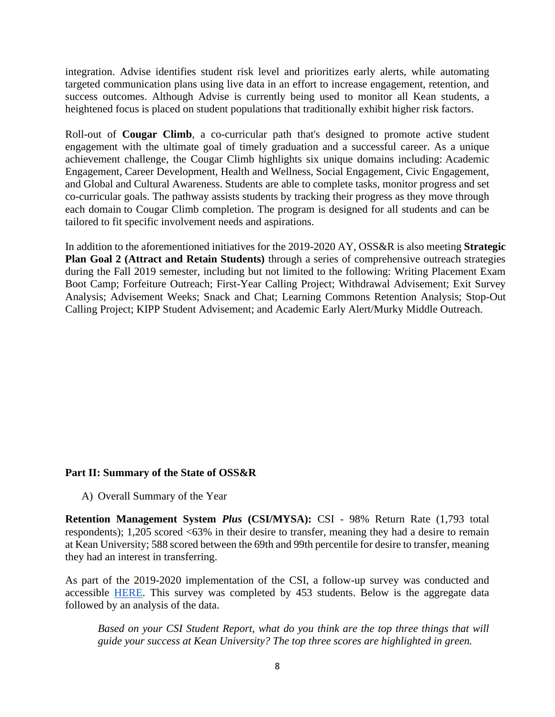integration. Advise identifies student risk level and prioritizes early alerts, while automating targeted communication plans using live data in an effort to increase engagement, retention, and success outcomes. Although Advise is currently being used to monitor all Kean students, a heightened focus is placed on student populations that traditionally exhibit higher risk factors.

Roll-out of **Cougar Climb**, a co-curricular path that's designed to promote active student engagement with the ultimate goal of timely graduation and a successful career. As a unique achievement challenge, the Cougar Climb highlights six unique domains including: Academic Engagement, Career Development, Health and Wellness, Social Engagement, Civic Engagement, and Global and Cultural Awareness. Students are able to complete tasks, monitor progress and set co-curricular goals. The pathway assists students by tracking their progress as they move through each domain to Cougar Climb completion. The program is designed for all students and can be tailored to fit specific involvement needs and aspirations.

In addition to the aforementioned initiatives for the 2019-2020 AY, OSS&R is also meeting **Strategic Plan Goal 2 (Attract and Retain Students)** through a series of comprehensive outreach strategies during the Fall 2019 semester, including but not limited to the following: Writing Placement Exam Boot Camp; Forfeiture Outreach; First-Year Calling Project; Withdrawal Advisement; Exit Survey Analysis; Advisement Weeks; Snack and Chat; Learning Commons Retention Analysis; Stop-Out Calling Project; KIPP Student Advisement; and Academic Early Alert/Murky Middle Outreach.

### **Part II: Summary of the State of OSS&R**

A) Overall Summary of the Year

**Retention Management System** *Plus* **(CSI/MYSA):** CSI - 98% Return Rate (1,793 total respondents); 1,205 scored <63% in their desire to transfer, meaning they had a desire to remain at Kean University; 588 scored between the 69th and 99th percentile for desire to transfer, meaning they had an interest in transferring.

As part of the 2019-2020 implementation of the CSI, a follow-up survey was conducted and accessible [HERE.](http://ku.co1.qualtrics.com/jfe/form/SV_1B4wHhTCqVSaNLL) This survey was completed by 453 students. Below is the aggregate data followed by an analysis of the data.

*Based on your CSI Student Report, what do you think are the top three things that will guide your success at Kean University? The top three scores are highlighted in green.*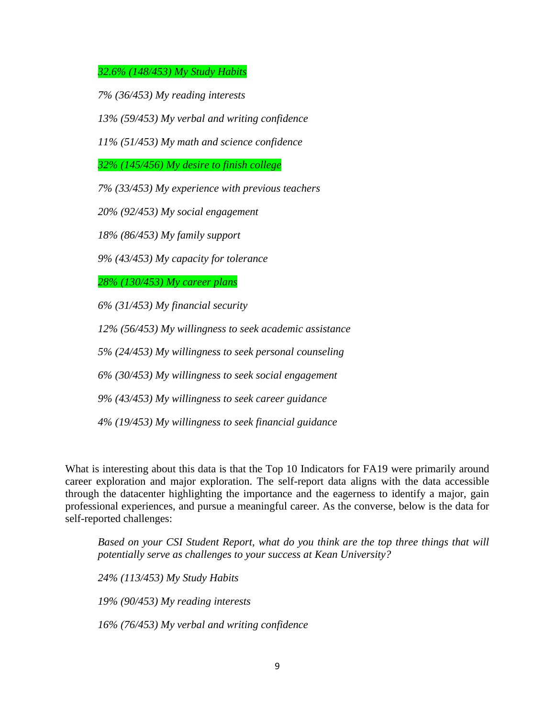*32.6% (148/453) My Study Habits*

*7% (36/453) My reading interests*

*13% (59/453) My verbal and writing confidence* 

*11% (51/453) My math and science confidence* 

*32% (145/456) My desire to finish college*

*7% (33/453) My experience with previous teachers*

*20% (92/453) My social engagement*

*18% (86/453) My family support*

*9% (43/453) My capacity for tolerance*

*28% (130/453) My career plans*

*6% (31/453) My financial security*

*12% (56/453) My willingness to seek academic assistance*

*5% (24/453) My willingness to seek personal counseling*

*6% (30/453) My willingness to seek social engagement*

*9% (43/453) My willingness to seek career guidance*

*4% (19/453) My willingness to seek financial guidance*

What is interesting about this data is that the Top 10 Indicators for FA19 were primarily around career exploration and major exploration. The self-report data aligns with the data accessible through the datacenter highlighting the importance and the eagerness to identify a major, gain professional experiences, and pursue a meaningful career. As the converse, below is the data for self-reported challenges:

*Based on your CSI Student Report, what do you think are the top three things that will potentially serve as challenges to your success at Kean University?*

*24% (113/453) My Study Habits*

*19% (90/453) My reading interests*

*16% (76/453) My verbal and writing confidence*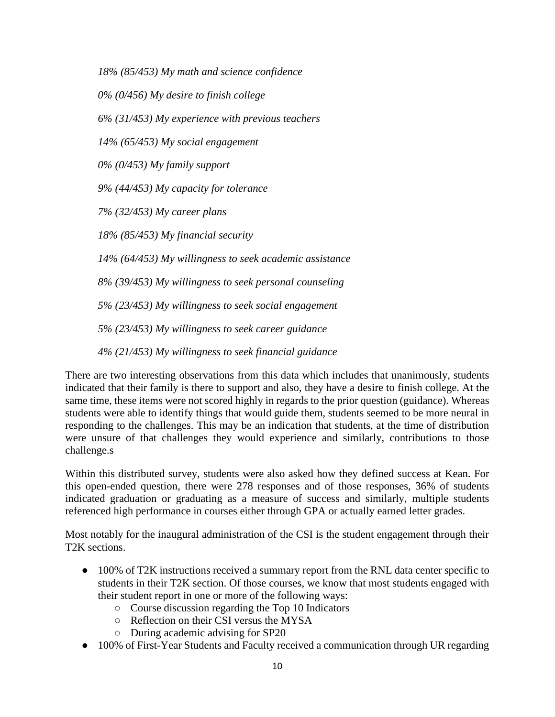*18% (85/453) My math and science confidence* 

*0% (0/456) My desire to finish college*

*6% (31/453) My experience with previous teachers*

*14% (65/453) My social engagement*

*0% (0/453) My family support*

*9% (44/453) My capacity for tolerance*

*7% (32/453) My career plans*

*18% (85/453) My financial security*

*14% (64/453) My willingness to seek academic assistance*

*8% (39/453) My willingness to seek personal counseling*

*5% (23/453) My willingness to seek social engagement*

*5% (23/453) My willingness to seek career guidance*

*4% (21/453) My willingness to seek financial guidance*

There are two interesting observations from this data which includes that unanimously, students indicated that their family is there to support and also, they have a desire to finish college. At the same time, these items were not scored highly in regards to the prior question (guidance). Whereas students were able to identify things that would guide them, students seemed to be more neural in responding to the challenges. This may be an indication that students, at the time of distribution were unsure of that challenges they would experience and similarly, contributions to those challenge.s

Within this distributed survey, students were also asked how they defined success at Kean. For this open-ended question, there were 278 responses and of those responses, 36% of students indicated graduation or graduating as a measure of success and similarly, multiple students referenced high performance in courses either through GPA or actually earned letter grades.

Most notably for the inaugural administration of the CSI is the student engagement through their T2K sections.

- 100% of T2K instructions received a summary report from the RNL data center specific to students in their T2K section. Of those courses, we know that most students engaged with their student report in one or more of the following ways:
	- Course discussion regarding the Top 10 Indicators
	- Reflection on their CSI versus the MYSA
	- During academic advising for SP20
- 100% of First-Year Students and Faculty received a communication through UR regarding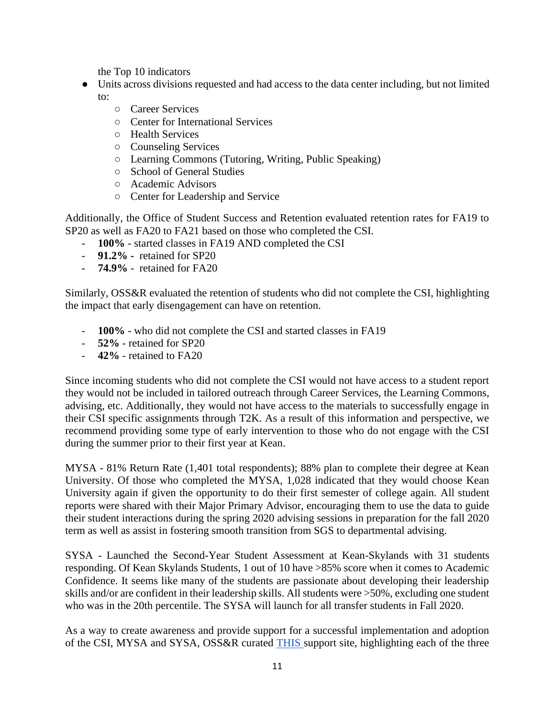the Top 10 indicators

- Units across divisions requested and had access to the data center including, but not limited to:
	- Career Services
	- Center for International Services
	- Health Services
	- Counseling Services
	- Learning Commons (Tutoring, Writing, Public Speaking)
	- School of General Studies
	- Academic Advisors
	- Center for Leadership and Service

Additionally, the Office of Student Success and Retention evaluated retention rates for FA19 to SP20 as well as FA20 to FA21 based on those who completed the CSI.

- **100%** started classes in FA19 AND completed the CSI
- **91.2% -** retained for SP20
- **74.9%**  retained for FA20

Similarly, OSS&R evaluated the retention of students who did not complete the CSI, highlighting the impact that early disengagement can have on retention.

- **100%** who did not complete the CSI and started classes in FA19
- **52%** retained for SP20
- **42%** retained to FA20

Since incoming students who did not complete the CSI would not have access to a student report they would not be included in tailored outreach through Career Services, the Learning Commons, advising, etc. Additionally, they would not have access to the materials to successfully engage in their CSI specific assignments through T2K. As a result of this information and perspective, we recommend providing some type of early intervention to those who do not engage with the CSI during the summer prior to their first year at Kean.

MYSA - 81% Return Rate (1,401 total respondents); 88% plan to complete their degree at Kean University. Of those who completed the MYSA, 1,028 indicated that they would choose Kean University again if given the opportunity to do their first semester of college again. All student reports were shared with their Major Primary Advisor, encouraging them to use the data to guide their student interactions during the spring 2020 advising sessions in preparation for the fall 2020 term as well as assist in fostering smooth transition from SGS to departmental advising.

SYSA - Launched the Second-Year Student Assessment at Kean-Skylands with 31 students responding. Of Kean Skylands Students, 1 out of 10 have >85% score when it comes to Academic Confidence. It seems like many of the students are passionate about developing their leadership skills and/or are confident in their leadership skills. All students were >50%, excluding one student who was in the 20th percentile. The SYSA will launch for all transfer students in Fall 2020.

As a way to create awareness and provide support for a successful implementation and adoption of the CSI, MYSA and SYSA, OSS&R curated [THIS s](https://sites.google.com/kean.edu/ellucian-crm-advise/student-retention-suite_1)upport site, highlighting each of the three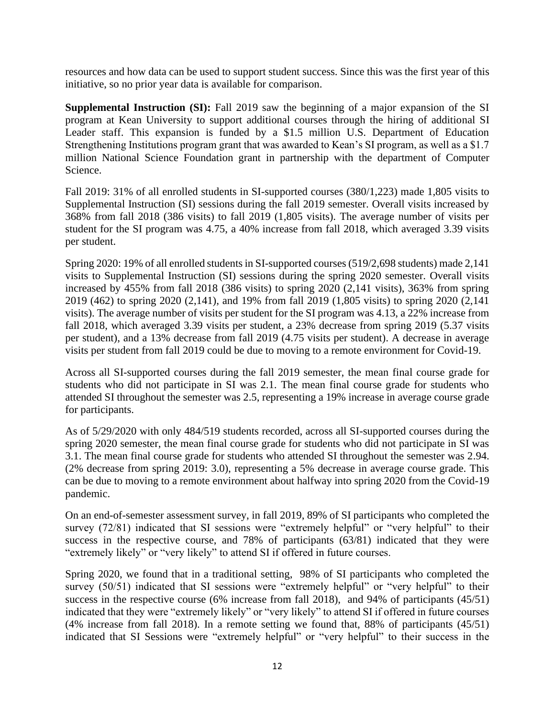resources and how data can be used to support student success. Since this was the first year of this initiative, so no prior year data is available for comparison.

**Supplemental Instruction (SI):** Fall 2019 saw the beginning of a major expansion of the SI program at Kean University to support additional courses through the hiring of additional SI Leader staff. This expansion is funded by a \$1.5 million U.S. Department of Education Strengthening Institutions program grant that was awarded to Kean's SI program, as well as a \$1.7 million National Science Foundation grant in partnership with the department of Computer Science.

Fall 2019: 31% of all enrolled students in SI-supported courses (380/1,223) made 1,805 visits to Supplemental Instruction (SI) sessions during the fall 2019 semester. Overall visits increased by 368% from fall 2018 (386 visits) to fall 2019 (1,805 visits). The average number of visits per student for the SI program was 4.75, a 40% increase from fall 2018, which averaged 3.39 visits per student.

Spring 2020: 19% of all enrolled students in SI-supported courses (519/2,698 students) made 2,141 visits to Supplemental Instruction (SI) sessions during the spring 2020 semester. Overall visits increased by 455% from fall 2018 (386 visits) to spring 2020 (2,141 visits), 363% from spring 2019 (462) to spring 2020 (2,141), and 19% from fall 2019 (1,805 visits) to spring 2020 (2,141 visits). The average number of visits per student for the SI program was 4.13, a 22% increase from fall 2018, which averaged 3.39 visits per student, a 23% decrease from spring 2019 (5.37 visits per student), and a 13% decrease from fall 2019 (4.75 visits per student). A decrease in average visits per student from fall 2019 could be due to moving to a remote environment for Covid-19.

Across all SI-supported courses during the fall 2019 semester, the mean final course grade for students who did not participate in SI was 2.1. The mean final course grade for students who attended SI throughout the semester was 2.5, representing a 19% increase in average course grade for participants.

As of 5/29/2020 with only 484/519 students recorded, across all SI-supported courses during the spring 2020 semester, the mean final course grade for students who did not participate in SI was 3.1. The mean final course grade for students who attended SI throughout the semester was 2.94. (2% decrease from spring 2019: 3.0), representing a 5% decrease in average course grade. This can be due to moving to a remote environment about halfway into spring 2020 from the Covid-19 pandemic.

On an end-of-semester assessment survey, in fall 2019, 89% of SI participants who completed the survey (72/81) indicated that SI sessions were "extremely helpful" or "very helpful" to their success in the respective course, and 78% of participants (63/81) indicated that they were "extremely likely" or "very likely" to attend SI if offered in future courses.

Spring 2020, we found that in a traditional setting, 98% of SI participants who completed the survey (50/51) indicated that SI sessions were "extremely helpful" or "very helpful" to their success in the respective course (6% increase from fall 2018), and 94% of participants (45/51) indicated that they were "extremely likely" or "very likely" to attend SI if offered in future courses (4% increase from fall 2018). In a remote setting we found that, 88% of participants (45/51) indicated that SI Sessions were "extremely helpful" or "very helpful" to their success in the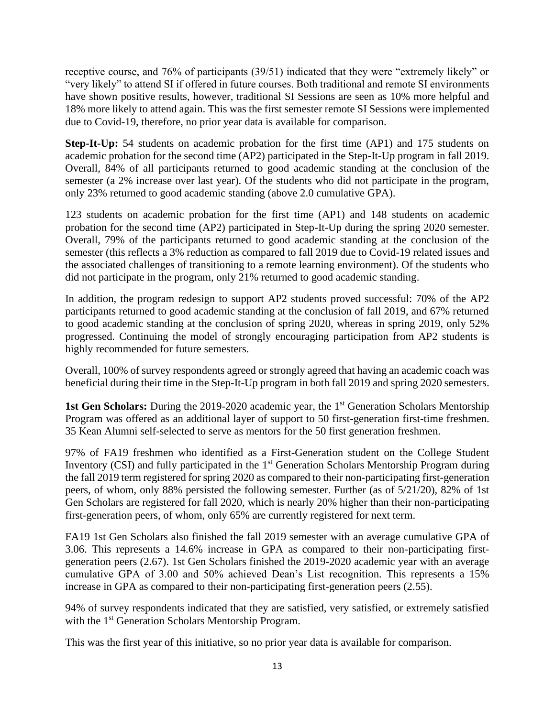receptive course, and 76% of participants (39/51) indicated that they were "extremely likely" or "very likely" to attend SI if offered in future courses. Both traditional and remote SI environments have shown positive results, however, traditional SI Sessions are seen as 10% more helpful and 18% more likely to attend again. This was the first semester remote SI Sessions were implemented due to Covid-19, therefore, no prior year data is available for comparison.

**Step-It-Up:** 54 students on academic probation for the first time (AP1) and 175 students on academic probation for the second time (AP2) participated in the Step-It-Up program in fall 2019. Overall, 84% of all participants returned to good academic standing at the conclusion of the semester (a 2% increase over last year). Of the students who did not participate in the program, only 23% returned to good academic standing (above 2.0 cumulative GPA).

123 students on academic probation for the first time (AP1) and 148 students on academic probation for the second time (AP2) participated in Step-It-Up during the spring 2020 semester. Overall, 79% of the participants returned to good academic standing at the conclusion of the semester (this reflects a 3% reduction as compared to fall 2019 due to Covid-19 related issues and the associated challenges of transitioning to a remote learning environment). Of the students who did not participate in the program, only 21% returned to good academic standing.

In addition, the program redesign to support AP2 students proved successful: 70% of the AP2 participants returned to good academic standing at the conclusion of fall 2019, and 67% returned to good academic standing at the conclusion of spring 2020, whereas in spring 2019, only 52% progressed. Continuing the model of strongly encouraging participation from AP2 students is highly recommended for future semesters.

Overall, 100% of survey respondents agreed or strongly agreed that having an academic coach was beneficial during their time in the Step-It-Up program in both fall 2019 and spring 2020 semesters.

**1st Gen Scholars:** During the 2019-2020 academic year, the 1<sup>st</sup> Generation Scholars Mentorship Program was offered as an additional layer of support to 50 first-generation first-time freshmen. 35 Kean Alumni self-selected to serve as mentors for the 50 first generation freshmen.

97% of FA19 freshmen who identified as a First-Generation student on the College Student Inventory (CSI) and fully participated in the 1<sup>st</sup> Generation Scholars Mentorship Program during the fall 2019 term registered for spring 2020 as compared to their non-participating first-generation peers, of whom, only 88% persisted the following semester. Further (as of 5/21/20), 82% of 1st Gen Scholars are registered for fall 2020, which is nearly 20% higher than their non-participating first-generation peers, of whom, only 65% are currently registered for next term.

FA19 1st Gen Scholars also finished the fall 2019 semester with an average cumulative GPA of 3.06. This represents a 14.6% increase in GPA as compared to their non-participating firstgeneration peers (2.67). 1st Gen Scholars finished the 2019-2020 academic year with an average cumulative GPA of 3.00 and 50% achieved Dean's List recognition. This represents a 15% increase in GPA as compared to their non-participating first-generation peers (2.55).

94% of survey respondents indicated that they are satisfied, very satisfied, or extremely satisfied with the 1<sup>st</sup> Generation Scholars Mentorship Program.

This was the first year of this initiative, so no prior year data is available for comparison.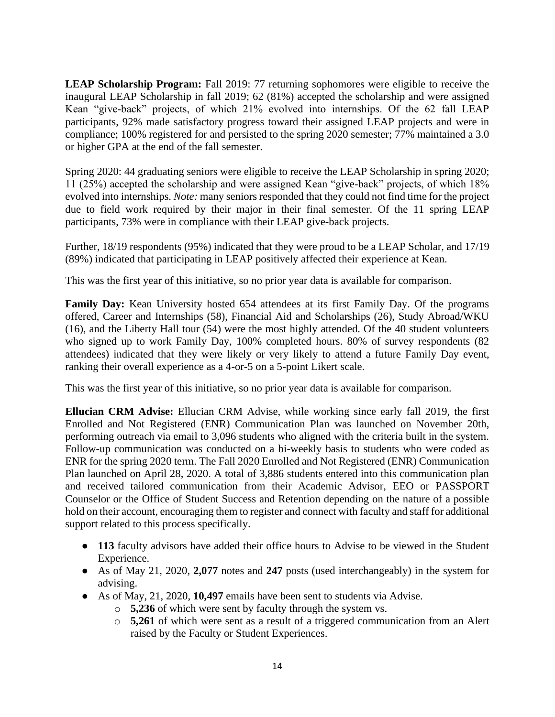**LEAP Scholarship Program:** Fall 2019: 77 returning sophomores were eligible to receive the inaugural LEAP Scholarship in fall 2019; 62 (81%) accepted the scholarship and were assigned Kean "give-back" projects, of which 21% evolved into internships. Of the 62 fall LEAP participants, 92% made satisfactory progress toward their assigned LEAP projects and were in compliance; 100% registered for and persisted to the spring 2020 semester; 77% maintained a 3.0 or higher GPA at the end of the fall semester.

Spring 2020: 44 graduating seniors were eligible to receive the LEAP Scholarship in spring 2020; 11 (25%) accepted the scholarship and were assigned Kean "give-back" projects, of which 18% evolved into internships. *Note:* many seniors responded that they could not find time for the project due to field work required by their major in their final semester. Of the 11 spring LEAP participants, 73% were in compliance with their LEAP give-back projects.

Further, 18/19 respondents (95%) indicated that they were proud to be a LEAP Scholar, and 17/19 (89%) indicated that participating in LEAP positively affected their experience at Kean.

This was the first year of this initiative, so no prior year data is available for comparison.

**Family Day:** Kean University hosted 654 attendees at its first Family Day. Of the programs offered, Career and Internships (58), Financial Aid and Scholarships (26), Study Abroad/WKU (16), and the Liberty Hall tour (54) were the most highly attended. Of the 40 student volunteers who signed up to work Family Day, 100% completed hours. 80% of survey respondents (82 attendees) indicated that they were likely or very likely to attend a future Family Day event, ranking their overall experience as a 4-or-5 on a 5-point Likert scale.

This was the first year of this initiative, so no prior year data is available for comparison.

**Ellucian CRM Advise:** Ellucian CRM Advise, while working since early fall 2019, the first Enrolled and Not Registered (ENR) Communication Plan was launched on November 20th, performing outreach via email to 3,096 students who aligned with the criteria built in the system. Follow-up communication was conducted on a bi-weekly basis to students who were coded as ENR for the spring 2020 term. The Fall 2020 Enrolled and Not Registered (ENR) Communication Plan launched on April 28, 2020. A total of 3,886 students entered into this communication plan and received tailored communication from their Academic Advisor, EEO or PASSPORT Counselor or the Office of Student Success and Retention depending on the nature of a possible hold on their account, encouraging them to register and connect with faculty and staff for additional support related to this process specifically.

- **113** faculty advisors have added their office hours to Advise to be viewed in the Student Experience.
- As of May 21, 2020, **2,077** notes and **247** posts (used interchangeably) in the system for advising.
- As of May, 21, 2020, **10,497** emails have been sent to students via Advise.
	- o **5,236** of which were sent by faculty through the system vs.
	- o **5,261** of which were sent as a result of a triggered communication from an Alert raised by the Faculty or Student Experiences.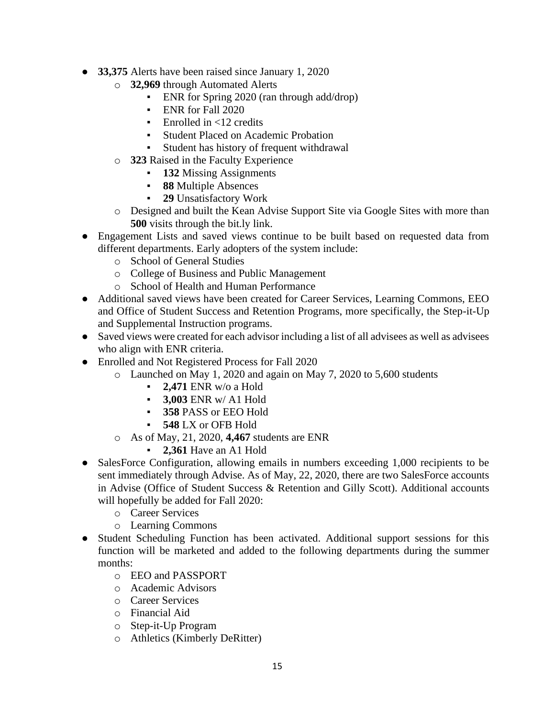- **33,375** Alerts have been raised since January 1, 2020
	- o **32,969** through Automated Alerts
		- **ENR** for Spring 2020 (ran through add/drop)
		- ENR for Fall 2020
		- $\blacksquare$  Enrolled in <12 credits
		- **Student Placed on Academic Probation**
		- Student has history of frequent withdrawal
	- o **323** Raised in the Faculty Experience
		- **132** Missing Assignments
		- **88** Multiple Absences
		- **29** Unsatisfactory Work
	- o Designed and built the Kean Advise Support Site via Google Sites with more than **500** visits through the bit.ly link.
- Engagement Lists and saved views continue to be built based on requested data from different departments. Early adopters of the system include:
	- o School of General Studies
	- o College of Business and Public Management
	- o School of Health and Human Performance
- Additional saved views have been created for Career Services, Learning Commons, EEO and Office of Student Success and Retention Programs, more specifically, the Step-it-Up and Supplemental Instruction programs.
- Saved views were created for each advisor including a list of all advisees as well as advisees who align with ENR criteria.
- Enrolled and Not Registered Process for Fall 2020
	- o Launched on May 1, 2020 and again on May 7, 2020 to 5,600 students
		- **2,471** ENR w/o a Hold
		- **3,003** ENR w/ A1 Hold
		- **358** PASS or EEO Hold
		- **548** LX or OFB Hold
	- o As of May, 21, 2020, **4,467** students are ENR
		- **2,361** Have an A1 Hold
- SalesForce Configuration, allowing emails in numbers exceeding 1,000 recipients to be sent immediately through Advise. As of May, 22, 2020, there are two SalesForce accounts in Advise (Office of Student Success & Retention and Gilly Scott). Additional accounts will hopefully be added for Fall 2020:
	- o Career Services
	- o Learning Commons
- Student Scheduling Function has been activated. Additional support sessions for this function will be marketed and added to the following departments during the summer months:
	- o EEO and PASSPORT
	- o Academic Advisors
	- o Career Services
	- o Financial Aid
	- o Step-it-Up Program
	- o Athletics (Kimberly DeRitter)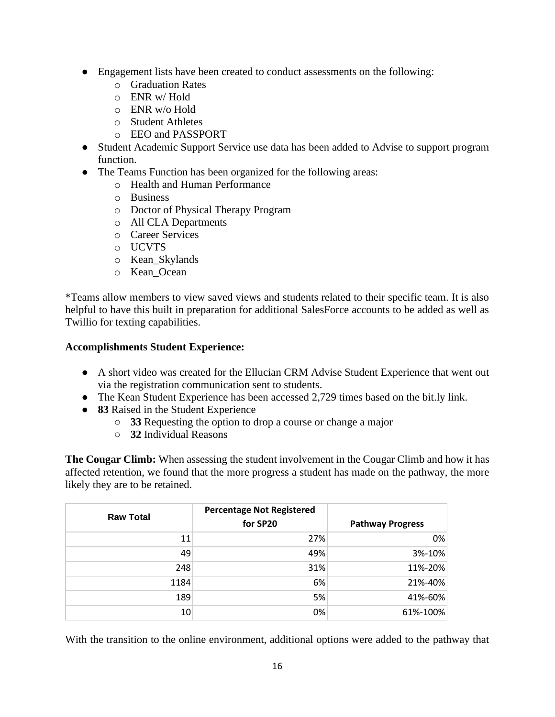- Engagement lists have been created to conduct assessments on the following:
	- o Graduation Rates
	- o ENR w/ Hold
	- o ENR w/o Hold
	- o Student Athletes
	- o EEO and PASSPORT
- Student Academic Support Service use data has been added to Advise to support program function.
- The Teams Function has been organized for the following areas:
	- o Health and Human Performance
	- o Business
	- o Doctor of Physical Therapy Program
	- o All CLA Departments
	- o Career Services
	- o UCVTS
	- o Kean\_Skylands
	- o Kean\_Ocean

\*Teams allow members to view saved views and students related to their specific team. It is also helpful to have this built in preparation for additional SalesForce accounts to be added as well as Twillio for texting capabilities.

### **Accomplishments Student Experience:**

- A short video was created for the Ellucian CRM Advise Student Experience that went out via the registration communication sent to students.
- The Kean Student Experience has been accessed 2,729 times based on the bit.ly link.
- **83** Raised in the Student Experience
	- **33** Requesting the option to drop a course or change a major
	- **32** Individual Reasons

**The Cougar Climb:** When assessing the student involvement in the Cougar Climb and how it has affected retention, we found that the more progress a student has made on the pathway, the more likely they are to be retained.

| <b>Raw Total</b> | <b>Percentage Not Registered</b><br>for SP20 | <b>Pathway Progress</b> |
|------------------|----------------------------------------------|-------------------------|
| 11               | 27%                                          | 0%                      |
| 49               | 49%                                          | 3%-10%                  |
| 248              | 31%                                          | 11%-20%                 |
| 1184             | 6%                                           | 21%-40%                 |
| 189              | 5%                                           | 41%-60%                 |
| 10               | 0%                                           | 61%-100%                |

With the transition to the online environment, additional options were added to the pathway that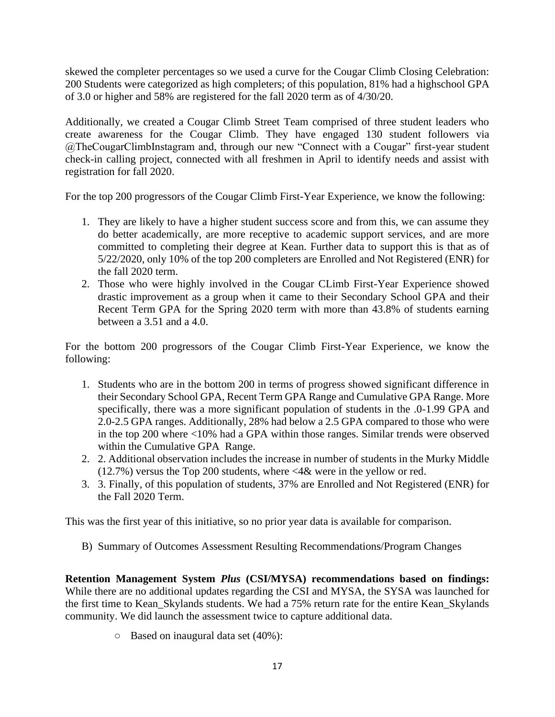skewed the completer percentages so we used a curve for the Cougar Climb Closing Celebration: 200 Students were categorized as high completers; of this population, 81% had a highschool GPA of 3.0 or higher and 58% are registered for the fall 2020 term as of 4/30/20.

Additionally, we created a Cougar Climb Street Team comprised of three student leaders who create awareness for the Cougar Climb. They have engaged 130 student followers via @TheCougarClimbInstagram and, through our new "Connect with a Cougar" first-year student check-in calling project, connected with all freshmen in April to identify needs and assist with registration for fall 2020.

For the top 200 progressors of the Cougar Climb First-Year Experience, we know the following:

- 1. They are likely to have a higher student success score and from this, we can assume they do better academically, are more receptive to academic support services, and are more committed to completing their degree at Kean. Further data to support this is that as of 5/22/2020, only 10% of the top 200 completers are Enrolled and Not Registered (ENR) for the fall 2020 term.
- 2. Those who were highly involved in the Cougar CLimb First-Year Experience showed drastic improvement as a group when it came to their Secondary School GPA and their Recent Term GPA for the Spring 2020 term with more than 43.8% of students earning between a 3.51 and a 4.0.

For the bottom 200 progressors of the Cougar Climb First-Year Experience, we know the following:

- 1. Students who are in the bottom 200 in terms of progress showed significant difference in their Secondary School GPA, Recent Term GPA Range and Cumulative GPA Range. More specifically, there was a more significant population of students in the .0-1.99 GPA and 2.0-2.5 GPA ranges. Additionally, 28% had below a 2.5 GPA compared to those who were in the top 200 where <10% had a GPA within those ranges. Similar trends were observed within the Cumulative GPA Range.
- 2. 2. Additional observation includes the increase in number of students in the Murky Middle (12.7%) versus the Top 200 students, where <4& were in the yellow or red.
- 3. 3. Finally, of this population of students, 37% are Enrolled and Not Registered (ENR) for the Fall 2020 Term.

This was the first year of this initiative, so no prior year data is available for comparison.

B) Summary of Outcomes Assessment Resulting Recommendations/Program Changes

**Retention Management System** *Plus* **(CSI/MYSA) recommendations based on findings:**  While there are no additional updates regarding the CSI and MYSA, the SYSA was launched for the first time to Kean Skylands students. We had a 75% return rate for the entire Kean Skylands community. We did launch the assessment twice to capture additional data.

○ Based on inaugural data set (40%):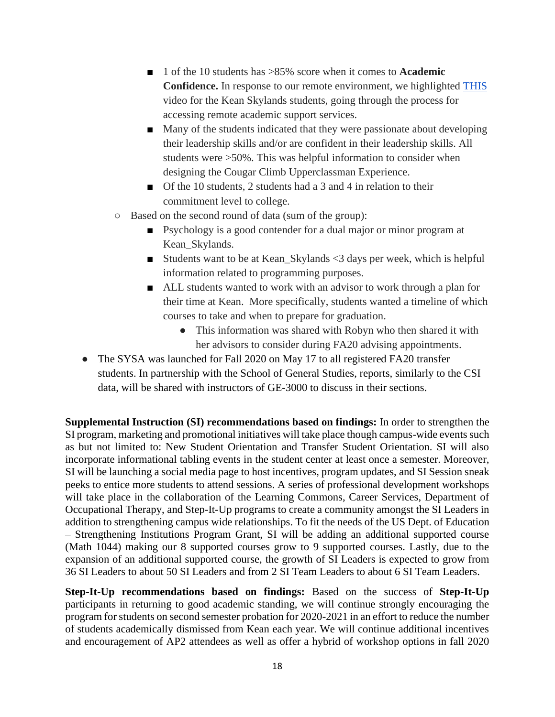- 1 of the 10 students has >85% score when it comes to **Academic Confidence.** In response to our remote environment, we highlighted [THIS](https://spark.adobe.com/video/5Ylt2Dyz5AO4T)  video for the Kean Skylands students, going through the process for accessing remote academic support services.
- Many of the students indicated that they were passionate about developing their leadership skills and/or are confident in their leadership skills. All students were >50%. This was helpful information to consider when designing the Cougar Climb Upperclassman Experience.
- Of the 10 students, 2 students had a 3 and 4 in relation to their commitment level to college.
- Based on the second round of data (sum of the group):
	- Psychology is a good contender for a dual major or minor program at Kean Skylands.
	- Students want to be at Kean\_Skylands <3 days per week, which is helpful information related to programming purposes.
	- ALL students wanted to work with an advisor to work through a plan for their time at Kean. More specifically, students wanted a timeline of which courses to take and when to prepare for graduation.
		- This information was shared with Robyn who then shared it with her advisors to consider during FA20 advising appointments.
- The SYSA was launched for Fall 2020 on May 17 to all registered FA20 transfer students. In partnership with the School of General Studies, reports, similarly to the CSI data, will be shared with instructors of GE-3000 to discuss in their sections.

**Supplemental Instruction (SI) recommendations based on findings:** In order to strengthen the SI program, marketing and promotional initiatives will take place though campus-wide events such as but not limited to: New Student Orientation and Transfer Student Orientation. SI will also incorporate informational tabling events in the student center at least once a semester. Moreover, SI will be launching a social media page to host incentives, program updates, and SI Session sneak peeks to entice more students to attend sessions. A series of professional development workshops will take place in the collaboration of the Learning Commons, Career Services, Department of Occupational Therapy, and Step-It-Up programs to create a community amongst the SI Leaders in addition to strengthening campus wide relationships. To fit the needs of the US Dept. of Education – Strengthening Institutions Program Grant, SI will be adding an additional supported course (Math 1044) making our 8 supported courses grow to 9 supported courses. Lastly, due to the expansion of an additional supported course, the growth of SI Leaders is expected to grow from 36 SI Leaders to about 50 SI Leaders and from 2 SI Team Leaders to about 6 SI Team Leaders.

**Step-It-Up recommendations based on findings:** Based on the success of **Step-It-Up** participants in returning to good academic standing, we will continue strongly encouraging the program for students on second semester probation for 2020-2021 in an effort to reduce the number of students academically dismissed from Kean each year. We will continue additional incentives and encouragement of AP2 attendees as well as offer a hybrid of workshop options in fall 2020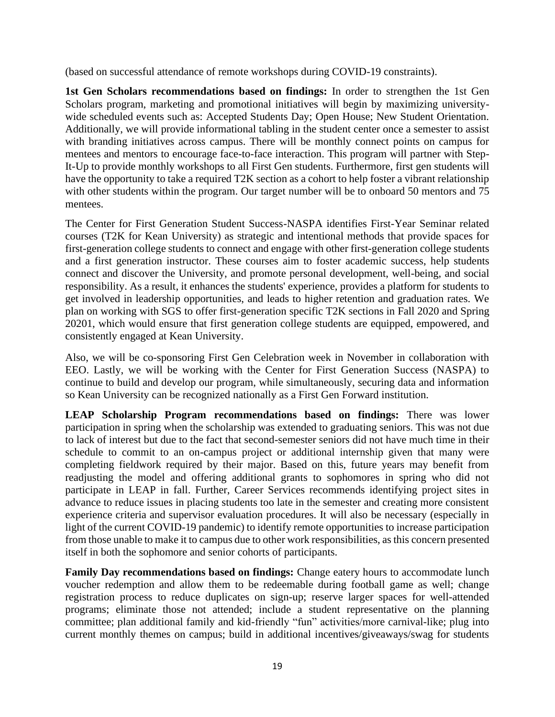(based on successful attendance of remote workshops during COVID-19 constraints).

**1st Gen Scholars recommendations based on findings:** In order to strengthen the 1st Gen Scholars program, marketing and promotional initiatives will begin by maximizing universitywide scheduled events such as: Accepted Students Day; Open House; New Student Orientation. Additionally, we will provide informational tabling in the student center once a semester to assist with branding initiatives across campus. There will be monthly connect points on campus for mentees and mentors to encourage face-to-face interaction. This program will partner with Step-It-Up to provide monthly workshops to all First Gen students. Furthermore, first gen students will have the opportunity to take a required T2K section as a cohort to help foster a vibrant relationship with other students within the program. Our target number will be to onboard 50 mentors and 75 mentees.

The Center for First Generation Student Success-NASPA identifies First-Year Seminar related courses (T2K for Kean University) as strategic and intentional methods that provide spaces for first-generation college students to connect and engage with other first-generation college students and a first generation instructor. These courses aim to foster academic success, help students connect and discover the University, and promote personal development, well-being, and social responsibility. As a result, it enhances the students' experience, provides a platform for students to get involved in leadership opportunities, and leads to higher retention and graduation rates. We plan on working with SGS to offer first-generation specific T2K sections in Fall 2020 and Spring 20201, which would ensure that first generation college students are equipped, empowered, and consistently engaged at Kean University.

Also, we will be co-sponsoring First Gen Celebration week in November in collaboration with EEO. Lastly, we will be working with the Center for First Generation Success (NASPA) to continue to build and develop our program, while simultaneously, securing data and information so Kean University can be recognized nationally as a First Gen Forward institution.

**LEAP Scholarship Program recommendations based on findings:** There was lower participation in spring when the scholarship was extended to graduating seniors. This was not due to lack of interest but due to the fact that second-semester seniors did not have much time in their schedule to commit to an on-campus project or additional internship given that many were completing fieldwork required by their major. Based on this, future years may benefit from readjusting the model and offering additional grants to sophomores in spring who did not participate in LEAP in fall. Further, Career Services recommends identifying project sites in advance to reduce issues in placing students too late in the semester and creating more consistent experience criteria and supervisor evaluation procedures. It will also be necessary (especially in light of the current COVID-19 pandemic) to identify remote opportunities to increase participation from those unable to make it to campus due to other work responsibilities, as this concern presented itself in both the sophomore and senior cohorts of participants.

**Family Day recommendations based on findings:** Change eatery hours to accommodate lunch voucher redemption and allow them to be redeemable during football game as well; change registration process to reduce duplicates on sign-up; reserve larger spaces for well-attended programs; eliminate those not attended; include a student representative on the planning committee; plan additional family and kid-friendly "fun" activities/more carnival-like; plug into current monthly themes on campus; build in additional incentives/giveaways/swag for students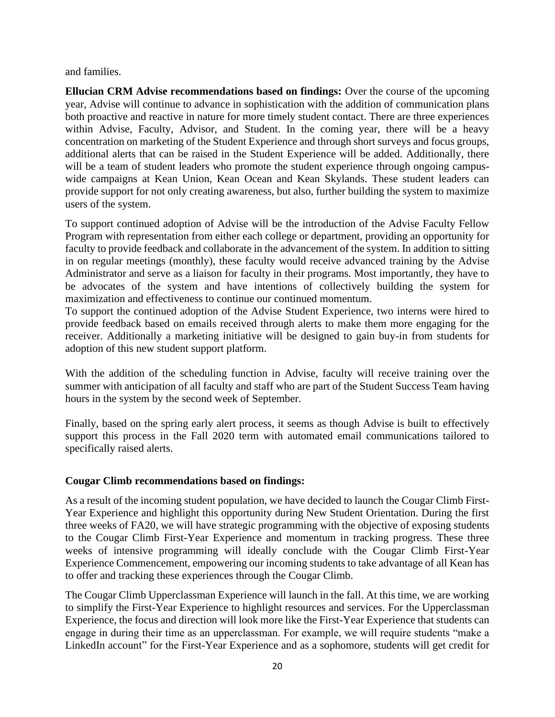and families.

**Ellucian CRM Advise recommendations based on findings:** Over the course of the upcoming year, Advise will continue to advance in sophistication with the addition of communication plans both proactive and reactive in nature for more timely student contact. There are three experiences within Advise, Faculty, Advisor, and Student. In the coming year, there will be a heavy concentration on marketing of the Student Experience and through short surveys and focus groups, additional alerts that can be raised in the Student Experience will be added. Additionally, there will be a team of student leaders who promote the student experience through ongoing campuswide campaigns at Kean Union, Kean Ocean and Kean Skylands. These student leaders can provide support for not only creating awareness, but also, further building the system to maximize users of the system.

To support continued adoption of Advise will be the introduction of the Advise Faculty Fellow Program with representation from either each college or department, providing an opportunity for faculty to provide feedback and collaborate in the advancement of the system. In addition to sitting in on regular meetings (monthly), these faculty would receive advanced training by the Advise Administrator and serve as a liaison for faculty in their programs. Most importantly, they have to be advocates of the system and have intentions of collectively building the system for maximization and effectiveness to continue our continued momentum.

To support the continued adoption of the Advise Student Experience, two interns were hired to provide feedback based on emails received through alerts to make them more engaging for the receiver. Additionally a marketing initiative will be designed to gain buy-in from students for adoption of this new student support platform.

With the addition of the scheduling function in Advise, faculty will receive training over the summer with anticipation of all faculty and staff who are part of the Student Success Team having hours in the system by the second week of September.

Finally, based on the spring early alert process, it seems as though Advise is built to effectively support this process in the Fall 2020 term with automated email communications tailored to specifically raised alerts.

### **Cougar Climb recommendations based on findings:**

As a result of the incoming student population, we have decided to launch the Cougar Climb First-Year Experience and highlight this opportunity during New Student Orientation. During the first three weeks of FA20, we will have strategic programming with the objective of exposing students to the Cougar Climb First-Year Experience and momentum in tracking progress. These three weeks of intensive programming will ideally conclude with the Cougar Climb First-Year Experience Commencement, empowering our incoming students to take advantage of all Kean has to offer and tracking these experiences through the Cougar Climb.

The Cougar Climb Upperclassman Experience will launch in the fall. At this time, we are working to simplify the First-Year Experience to highlight resources and services. For the Upperclassman Experience, the focus and direction will look more like the First-Year Experience that students can engage in during their time as an upperclassman. For example, we will require students "make a LinkedIn account" for the First-Year Experience and as a sophomore, students will get credit for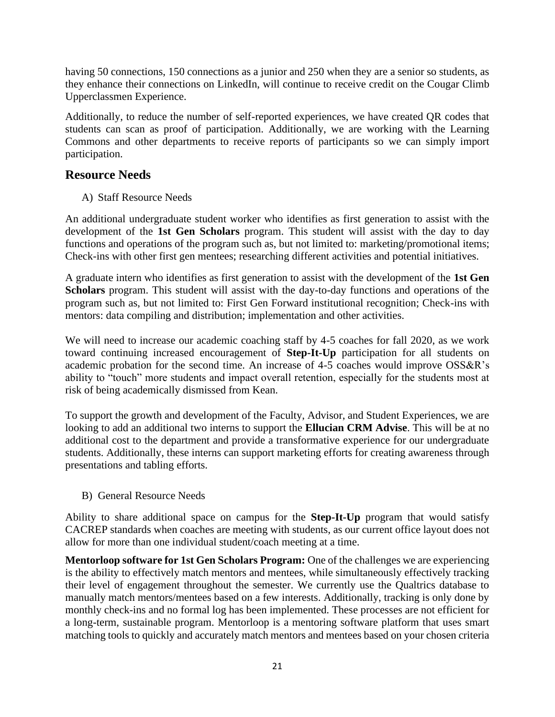having 50 connections, 150 connections as a junior and 250 when they are a senior so students, as they enhance their connections on LinkedIn, will continue to receive credit on the Cougar Climb Upperclassmen Experience.

Additionally, to reduce the number of self-reported experiences, we have created QR codes that students can scan as proof of participation. Additionally, we are working with the Learning Commons and other departments to receive reports of participants so we can simply import participation.

## **Resource Needs**

A) Staff Resource Needs

An additional undergraduate student worker who identifies as first generation to assist with the development of the **1st Gen Scholars** program. This student will assist with the day to day functions and operations of the program such as, but not limited to: marketing/promotional items; Check-ins with other first gen mentees; researching different activities and potential initiatives.

A graduate intern who identifies as first generation to assist with the development of the **1st Gen Scholars** program. This student will assist with the day-to-day functions and operations of the program such as, but not limited to: First Gen Forward institutional recognition; Check-ins with mentors: data compiling and distribution; implementation and other activities.

We will need to increase our academic coaching staff by 4-5 coaches for fall 2020, as we work toward continuing increased encouragement of **Step-It-Up** participation for all students on academic probation for the second time. An increase of 4-5 coaches would improve OSS&R's ability to "touch" more students and impact overall retention, especially for the students most at risk of being academically dismissed from Kean.

To support the growth and development of the Faculty, Advisor, and Student Experiences, we are looking to add an additional two interns to support the **Ellucian CRM Advise**. This will be at no additional cost to the department and provide a transformative experience for our undergraduate students. Additionally, these interns can support marketing efforts for creating awareness through presentations and tabling efforts.

B) General Resource Needs

Ability to share additional space on campus for the **Step-It-Up** program that would satisfy CACREP standards when coaches are meeting with students, as our current office layout does not allow for more than one individual student/coach meeting at a time.

**Mentorloop software for 1st Gen Scholars Program:** One of the challenges we are experiencing is the ability to effectively match mentors and mentees, while simultaneously effectively tracking their level of engagement throughout the semester. We currently use the Qualtrics database to manually match mentors/mentees based on a few interests. Additionally, tracking is only done by monthly check-ins and no formal log has been implemented. These processes are not efficient for a long-term, sustainable program. Mentorloop is a mentoring software platform that uses smart matching tools to quickly and accurately match mentors and mentees based on your chosen criteria